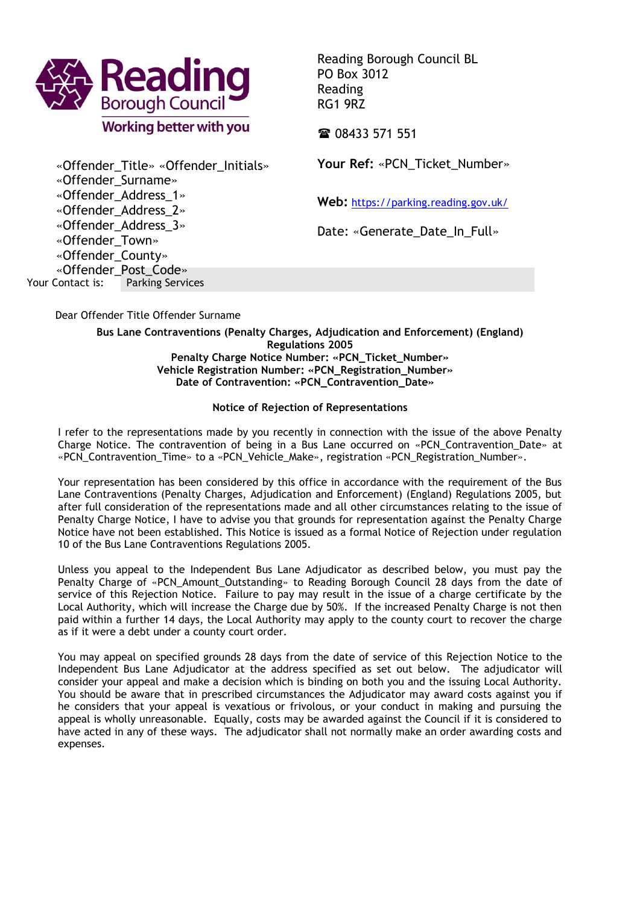

Reading Borough Council BL PO Box 3012 Reading RG1 9RZ

**雷 08433 571 551** 

Your Ref: «PCN Ticket Number»

**Web:** <https://parking.reading.gov.uk/>

Date: «Generate Date In Full»

Your Contact is: Parking Services «Offender\_Title» «Offender\_Initials» «Offender\_Surname» «Offender\_Address\_1» «Offender\_Address\_2» «Offender\_Address\_3» «Offender\_Town» «Offender\_County» «Offender\_Post\_Code»

Dear Offender Title Offender Surname

**Bus Lane Contraventions (Penalty Charges, Adjudication and Enforcement) (England) Regulations 2005 Penalty Charge Notice Number: «PCN\_Ticket\_Number» Vehicle Registration Number: «PCN\_Registration\_Number» Date of Contravention: «PCN\_Contravention\_Date»**

## **Notice of Rejection of Representations**

I refer to the representations made by you recently in connection with the issue of the above Penalty Charge Notice. The contravention of being in a Bus Lane occurred on «PCN\_Contravention\_Date» at «PCN\_Contravention\_Time» to a «PCN\_Vehicle\_Make», registration «PCN\_Registration\_Number».

Your representation has been considered by this office in accordance with the requirement of the Bus Lane Contraventions (Penalty Charges, Adjudication and Enforcement) (England) Regulations 2005, but after full consideration of the representations made and all other circumstances relating to the issue of Penalty Charge Notice, I have to advise you that grounds for representation against the Penalty Charge Notice have not been established. This Notice is issued as a formal Notice of Rejection under regulation 10 of the Bus Lane Contraventions Regulations 2005.

Unless you appeal to the Independent Bus Lane Adjudicator as described below, you must pay the Penalty Charge of «PCN\_Amount\_Outstanding» to Reading Borough Council 28 days from the date of service of this Rejection Notice. Failure to pay may result in the issue of a charge certificate by the Local Authority, which will increase the Charge due by 50%. If the increased Penalty Charge is not then paid within a further 14 days, the Local Authority may apply to the county court to recover the charge as if it were a debt under a county court order.

You may appeal on specified grounds 28 days from the date of service of this Rejection Notice to the Independent Bus Lane Adjudicator at the address specified as set out below. The adjudicator will consider your appeal and make a decision which is binding on both you and the issuing Local Authority. You should be aware that in prescribed circumstances the Adjudicator may award costs against you if he considers that your appeal is vexatious or frivolous, or your conduct in making and pursuing the appeal is wholly unreasonable. Equally, costs may be awarded against the Council if it is considered to have acted in any of these ways. The adjudicator shall not normally make an order awarding costs and expenses.